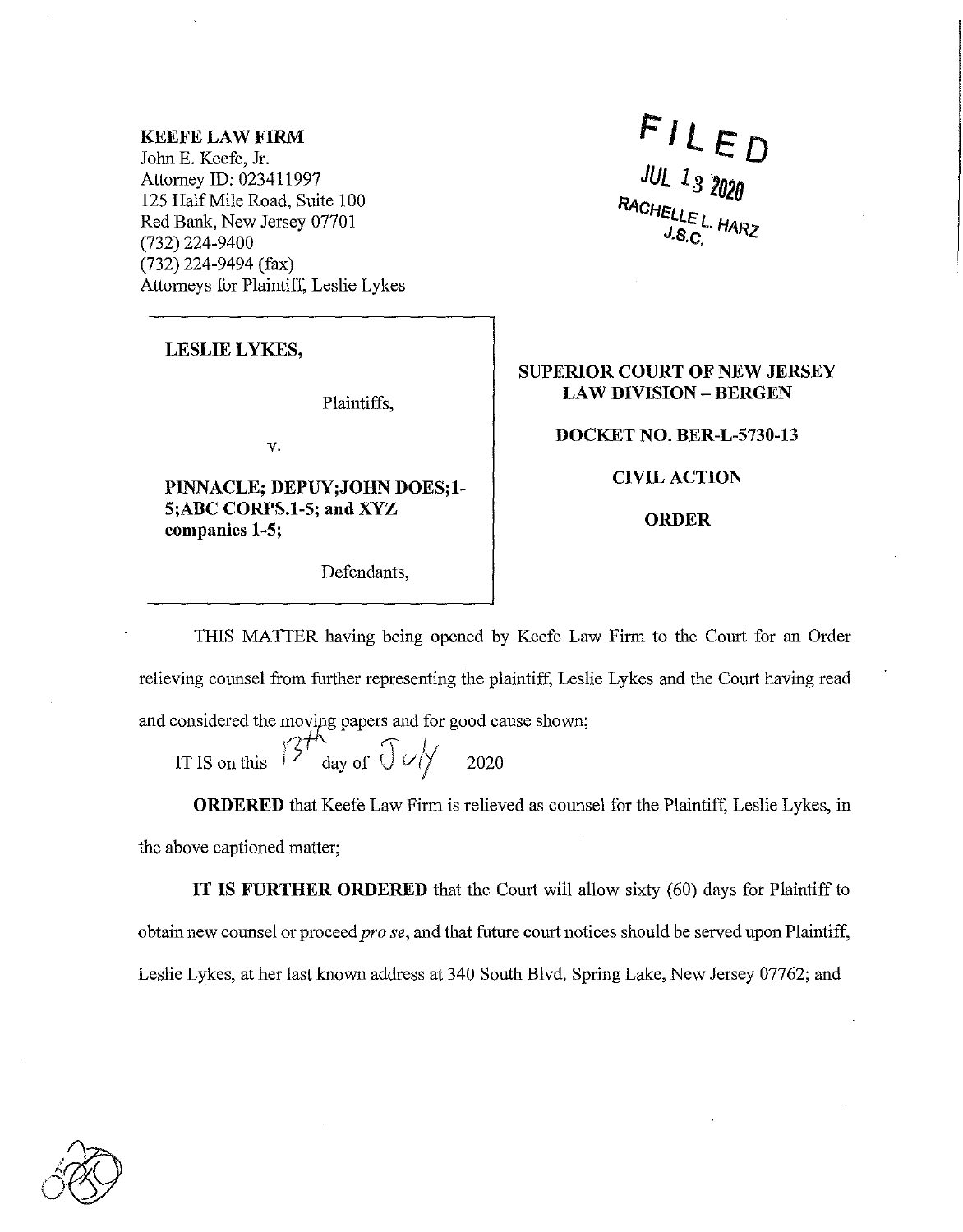## **KEEFE LAW FIRM**

John E. Keefe, Jr. Attorney ID: 023411997 125 Half Mile Road, Suite 100 Red Bank, New Jersey 07701 (732) 224-9400 (732) 224-9494 (fax) Attorneys for Plaintiff, Leslie Lykes

 $FILED$  $JUL$  13 2020

**LESLIE LYKES,** 

Plaintiffs,

v.

**PINNACLE; DEPUY;JOHN DOES;l-5;ABC CORPS.1-5; and XYZ companies 1-5;** 

Defendants,

**SUPERIOR COURT OF NEW JERSEY LAW DIVISION - BERGEN** 

**DOCKET NO. BER-L-5730-13** 

**CIVIL ACTION** 

**ORDER** 

THIS MATTER having being opened by Keefe Law Firm to the Court for an Order relieving counsel from further representing the plaintiff, Leslie Lykes and the Court having read and considered the moving papers and for good cause shown;

moving papers and 101 IT IS on this  $15^7$  day of  $\int \frac{1}{\sqrt{2}}$  2020

**ORDERED** that Keefe Law Firm is relieved as counsel for the Plaintiff, Leslie Lykes, in the above captioned matter;

**IT IS FURTHER ORDERED** that the Court will allow sixty (60) days for Plaintiff to obtain new counsel or proceed *prose,* and that future court notices should be served upon Plaintiff, Leslie Lykes, at her last known address at 340 South Blvd. Spring Lake, New Jersey 07762; and